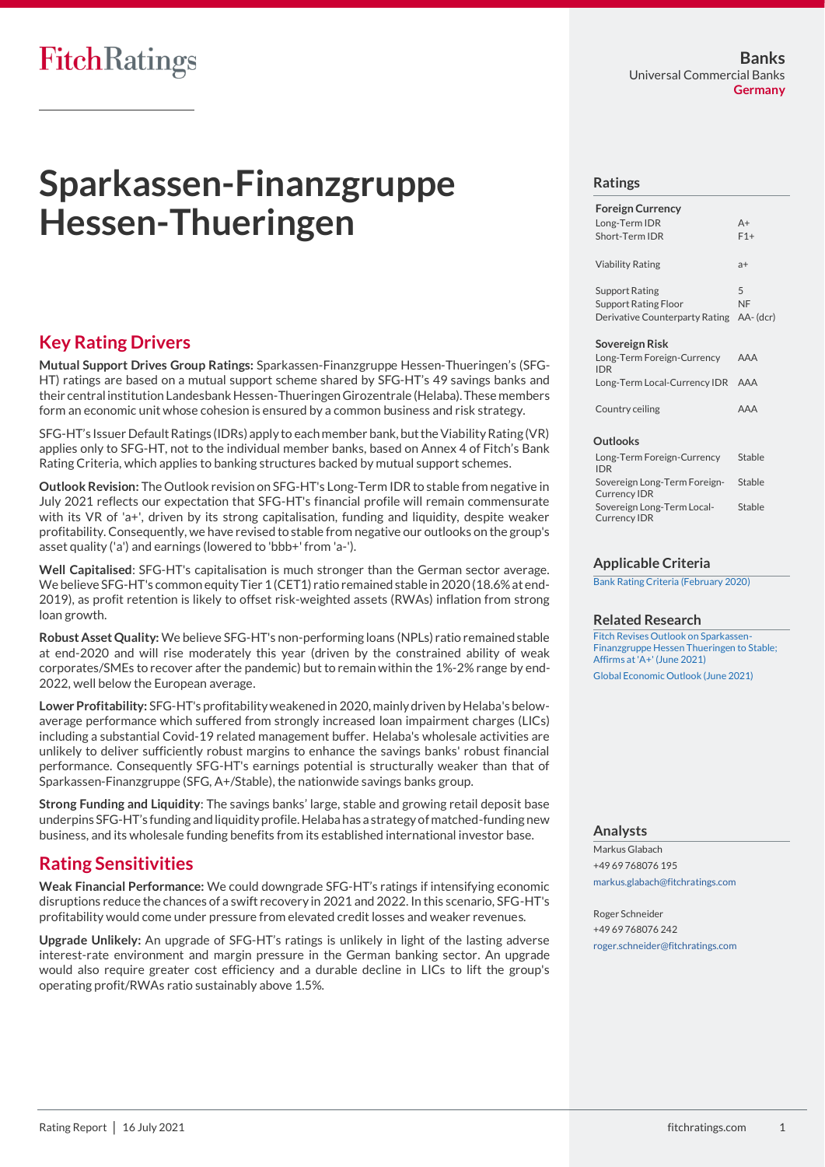# **FitchRatings**

# **Sparkassen-Finanzgruppe Hessen-Thueringen**

# **Key Rating Drivers**

**Mutual Support Drives Group Ratings:** Sparkassen-Finanzgruppe Hessen-Thueringen's (SFG-HT) ratings are based on a mutual support scheme shared by SFG-HT's 49 savings banks and their central institution Landesbank Hessen-ThueringenGirozentrale (Helaba).These members form an economic unit whose cohesion is ensured by a common business and risk strategy.

SFG-HT's Issuer Default Ratings (IDRs) apply to each member bank, but the Viability Rating (VR) applies only to SFG-HT, not to the individual member banks, based on Annex 4 of Fitch's Bank Rating Criteria, which applies to banking structures backed by mutual support schemes.

**Outlook Revision:** The Outlook revision on SFG-HT's Long-Term IDR to stable from negative in July 2021 reflects our expectation that SFG-HT's financial profile will remain commensurate with its VR of 'a+', driven by its strong capitalisation, funding and liquidity, despite weaker profitability. Consequently, we have revised to stable from negative our outlooks on the group's asset quality ('a') and earnings (lowered to 'bbb+' from 'a-').

**Well Capitalised**: SFG-HT's capitalisation is much stronger than the German sector average. We believe SFG-HT's common equity Tier 1 (CET1) ratio remained stable in 2020 (18.6% at end-2019), as profit retention is likely to offset risk-weighted assets (RWAs) inflation from strong loan growth.

**Robust Asset Quality:** We believe SFG-HT's non-performing loans (NPLs) ratio remained stable at end-2020 and will rise moderately this year (driven by the constrained ability of weak corporates/SMEs to recover after the pandemic) but to remain within the 1%-2% range by end-2022, well below the European average.

**Lower Profitability:** SFG-HT's profitability weakened in 2020, mainly driven by Helaba's belowaverage performance which suffered from strongly increased loan impairment charges (LICs) including a substantial Covid-19 related management buffer. Helaba's wholesale activities are unlikely to deliver sufficiently robust margins to enhance the savings banks' robust financial performance. Consequently SFG-HT's earnings potential is structurally weaker than that of Sparkassen-Finanzgruppe (SFG, A+/Stable), the nationwide savings banks group.

**Strong Funding and Liquidity**: The savings banks' large, stable and growing retail deposit base underpins SFG-HT's funding and liquidity profile. Helaba has a strategy of matched-funding new business, and its wholesale funding benefits from its established international investor base.

## **Rating Sensitivities**

**Weak Financial Performance:** We could downgrade SFG-HT's ratings if intensifying economic disruptions reduce the chances of a swift recovery in 2021 and 2022. In this scenario, SFG-HT's profitability would come under pressure from elevated credit losses and weaker revenues.

**Upgrade Unlikely:** An upgrade of SFG-HT's ratings is unlikely in light of the lasting adverse interest-rate environment and margin pressure in the German banking sector. An upgrade would also require greater cost efficiency and a durable decline in LICs to lift the group's operating profit/RWAs ratio sustainably above 1.5%.

#### **Ratings**

| <b>Foreign Currency</b><br>Long-Term IDR<br>Short-Term IDR                                | $A+$<br>$F1+$  |
|-------------------------------------------------------------------------------------------|----------------|
| <b>Viability Rating</b>                                                                   | $a+$           |
| Support Rating<br><b>Support Rating Floor</b><br>Derivative Counterparty Rating AA- (dcr) | 5<br><b>NF</b> |

#### **Sovereign Risk**

| Long-Term Foreign-Currency<br><b>IDR</b> | AAA |
|------------------------------------------|-----|
| Long-Term Local-Currency IDR AAA         |     |
| Country ceiling                          | AAA |

#### **Outlooks**

| Long-Term Foreign-Currency<br><b>IDR</b>            | Stable |
|-----------------------------------------------------|--------|
| Sovereign Long-Term Foreign-<br><b>Currency IDR</b> | Stable |
| Sovereign Long-Term Local-<br><b>Currency IDR</b>   | Stable |

#### **Applicable Criteria**

[Bank Rating Criteria \(February 2020\)](https://app.fitchconnect.com/search/research/article/FR_RPT_10110041)

#### **Related Research**

[Fitch Revises Outlook on Sparkassen-](https://app.fitchconnect.com/search/research/article/FR_PR_10168375)[Finanzgruppe Hessen Thueringen to Stable;](https://app.fitchconnect.com/search/research/article/FR_PR_10168375)  [Affirms at 'A+' \(June 2021\)](https://app.fitchconnect.com/search/research/article/FR_PR_10168375)

[Global Economic Outlook \(June 2021\)](https://app.fitchconnect.com/search/research/article/FR_RPT_10166250)

#### **Analysts**

Markus Glabach +49 69 768076 195 [markus.glabach@fitchratings.com](mailto:markus.glabach@fitchratings.com)

Roger Schneider +49 69 768076 242 [roger.schneider@fitchratings.com](mailto:roger.schneider@fitchratings.com)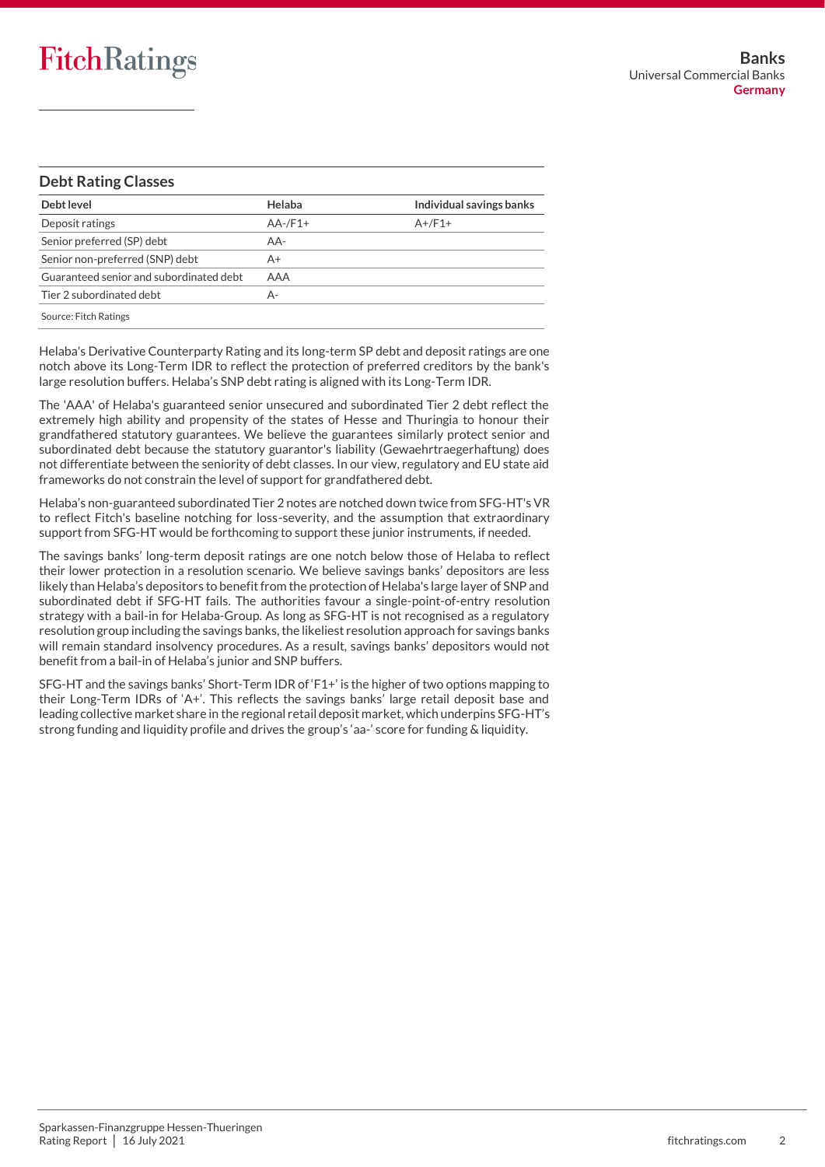### **Debt Rating Classes**

| Debt level                              | Helaba     | Individual savings banks |
|-----------------------------------------|------------|--------------------------|
| Deposit ratings                         | $AA$ -/F1+ | $A+$ / $F1+$             |
| Senior preferred (SP) debt              | AA-        |                          |
| Senior non-preferred (SNP) debt         | A+         |                          |
| Guaranteed senior and subordinated debt | AAA        |                          |
| Tier 2 subordinated debt                | А-         |                          |
| Source: Fitch Ratings                   |            |                          |

Helaba's Derivative Counterparty Rating and its long-term SP debt and deposit ratings are one notch above its Long-Term IDR to reflect the protection of preferred creditors by the bank's large resolution buffers. Helaba's SNP debt rating is aligned with its Long-Term IDR.

The 'AAA' of Helaba's guaranteed senior unsecured and subordinated Tier 2 debt reflect the extremely high ability and propensity of the states of Hesse and Thuringia to honour their grandfathered statutory guarantees. We believe the guarantees similarly protect senior and subordinated debt because the statutory guarantor's liability (Gewaehrtraegerhaftung) does not differentiate between the seniority of debt classes. In our view, regulatory and EU state aid frameworks do not constrain the level of support for grandfathered debt.

Helaba's non-guaranteed subordinated Tier 2 notes are notched down twice from SFG-HT's VR to reflect Fitch's baseline notching for loss-severity, and the assumption that extraordinary support from SFG-HT would be forthcoming to support these junior instruments, if needed.

The savings banks' long-term deposit ratings are one notch below those of Helaba to reflect their lower protection in a resolution scenario. We believe savings banks' depositors are less likely than Helaba's depositors to benefit from the protection of Helaba's large layer of SNP and subordinated debt if SFG-HT fails. The authorities favour a single-point-of-entry resolution strategy with a bail-in for Helaba-Group. As long as SFG-HT is not recognised as a regulatory resolution group including the savings banks, the likeliest resolution approach for savings banks will remain standard insolvency procedures. As a result, savings banks' depositors would not benefit from a bail-in of Helaba's junior and SNP buffers.

SFG-HT and the savings banks' Short-Term IDR of 'F1+' is the higher of two options mapping to their Long-Term IDRs of 'A+'. This reflects the savings banks' large retail deposit base and leading collective market share in the regional retail deposit market, which underpins SFG-HT's strong funding and liquidity profile and drives the group's 'aa-' score for funding & liquidity.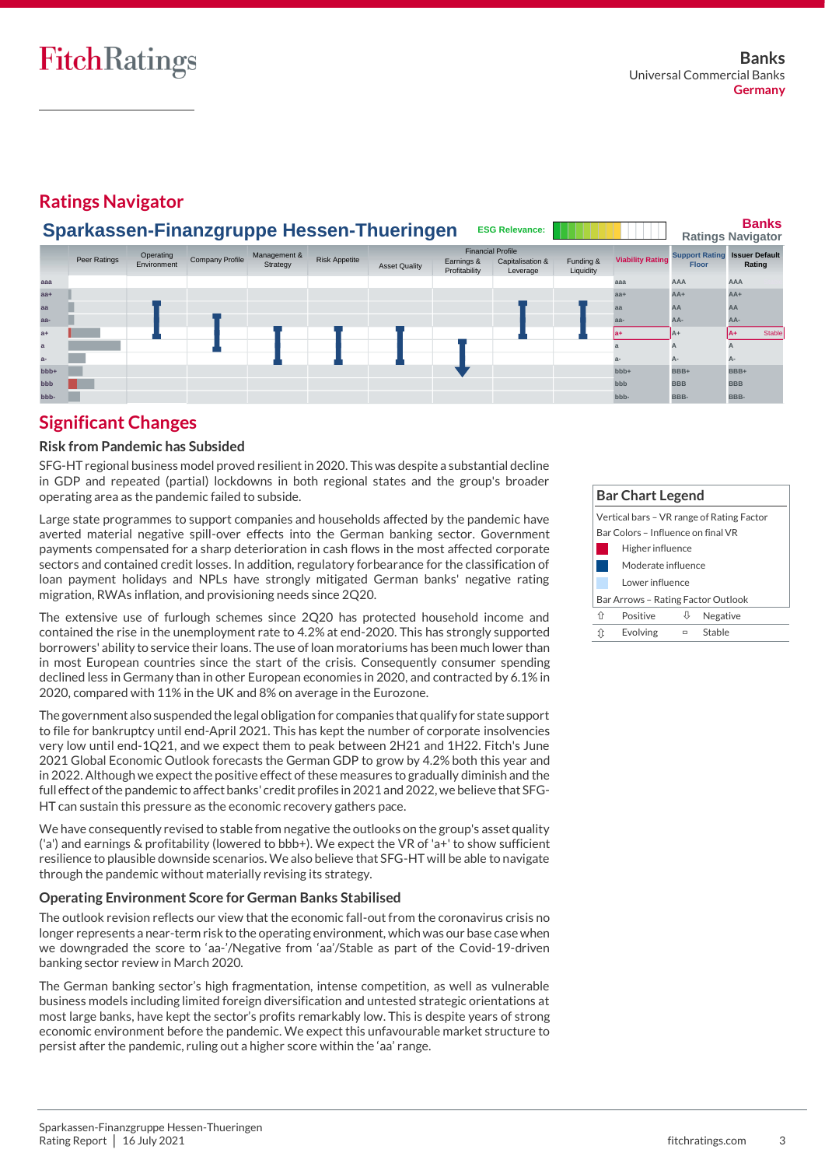# **Ratings Navigator**

|       | <b>Banks</b><br>Sparkassen-Finanzgruppe Hessen-Thueringen<br><b>ESG Relevance:</b><br><b>Ratings Navigator</b> |                          |                 |                          |                      |                      |                                                         |                              |                        |                         |                                       |                                 |
|-------|----------------------------------------------------------------------------------------------------------------|--------------------------|-----------------|--------------------------|----------------------|----------------------|---------------------------------------------------------|------------------------------|------------------------|-------------------------|---------------------------------------|---------------------------------|
|       | Peer Ratings                                                                                                   | Operating<br>Environment | Company Profile | Management &<br>Strategy | <b>Risk Appetite</b> | <b>Asset Quality</b> | <b>Financial Profile</b><br>Earnings &<br>Profitability | Capitalisation &<br>Leverage | Funding &<br>Liquidity | <b>Viability Rating</b> | <b>Support Rating</b><br><b>Floor</b> | <b>Issuer Default</b><br>Rating |
| aaa   |                                                                                                                |                          |                 |                          |                      |                      |                                                         |                              |                        | aaa                     | AAA                                   | <b>AAA</b>                      |
| $aa+$ |                                                                                                                |                          |                 |                          |                      |                      |                                                         |                              |                        | $aa+$                   | $AA+$                                 | $AA+$                           |
| aa    |                                                                                                                |                          |                 |                          |                      |                      |                                                         |                              |                        | aa                      | AA                                    | AA                              |
| aa-   |                                                                                                                |                          |                 |                          |                      |                      |                                                         |                              |                        | aa-                     | AA-                                   | AA-                             |
| $a+$  |                                                                                                                |                          |                 |                          |                      |                      |                                                         |                              |                        |                         | $AA+$                                 | <b>Stable</b>                   |
| a     |                                                                                                                |                          |                 |                          |                      |                      |                                                         |                              |                        |                         | А                                     |                                 |
| $a-$  |                                                                                                                |                          |                 |                          |                      |                      |                                                         |                              |                        |                         | А-                                    | A-                              |
| bbb+  |                                                                                                                |                          |                 |                          |                      |                      |                                                         |                              |                        | $bbb +$                 | BBB+                                  | BBB+                            |
| bbb   |                                                                                                                |                          |                 |                          |                      |                      |                                                         |                              |                        | bbb                     | <b>BBB</b>                            | <b>BBB</b>                      |
| bbb-  |                                                                                                                |                          |                 |                          |                      |                      |                                                         |                              |                        | bbb-                    | BBB-                                  | BBB-                            |

# **Significant Changes**

### **Risk from Pandemic has Subsided**

SFG-HT regional business model proved resilient in 2020. This was despite a substantial decline in GDP and repeated (partial) lockdowns in both regional states and the group's broader operating area as the pandemic failed to subside.

Large state programmes to support companies and households affected by the pandemic have averted material negative spill-over effects into the German banking sector. Government payments compensated for a sharp deterioration in cash flows in the most affected corporate sectors and contained credit losses. In addition, regulatory forbearance for the classification of loan payment holidays and NPLs have strongly mitigated German banks' negative rating migration, RWAs inflation, and provisioning needs since 2Q20.

The extensive use of furlough schemes since 2Q20 has protected household income and contained the rise in the unemployment rate to 4.2% at end-2020. This has strongly supported borrowers' ability to service their loans. The use of loan moratoriums has been much lower than in most European countries since the start of the crisis. Consequently consumer spending declined less in Germany than in other European economies in 2020, and contracted by 6.1% in 2020, compared with 11% in the UK and 8% on average in the Eurozone.

The government also suspended the legal obligation for companies that qualify for state support to file for bankruptcy until end-April 2021. This has kept the number of corporate insolvencies very low until end-1Q21, and we expect them to peak between 2H21 and 1H22. Fitch's June 2021 Global Economic Outlook forecasts the German GDP to grow by 4.2% both this year and in 2022. Although we expect the positive effect of these measures to gradually diminish and the full effect of the pandemic to affect banks' credit profiles in 2021 and 2022, we believe that SFG-HT can sustain this pressure as the economic recovery gathers pace.

We have consequently revised to stable from negative the outlooks on the group's asset quality ('a') and earnings & profitability (lowered to bbb+). We expect the VR of 'a+' to show sufficient resilience to plausible downside scenarios. We also believe that SFG-HT will be able to navigate through the pandemic without materially revising its strategy.

### **Operating Environment Score for German Banks Stabilised**

The outlook revision reflects our view that the economic fall-out from the coronavirus crisis no longer represents a near-term risk to the operating environment, which was our base case when we downgraded the score to 'aa-'/Negative from 'aa'/Stable as part of the Covid-19-driven banking sector review in March 2020.

The German banking sector's high fragmentation, intense competition, as well as vulnerable business models including limited foreign diversification and untested strategic orientations at most large banks, have kept the sector's profits remarkably low. This is despite years of strong economic environment before the pandemic. We expect this unfavourable market structure to persist after the pandemic, ruling out a higher score within the 'aa' range.

| <b>Bar Chart Legend</b>                                                         |                  |   |          |  |  |  |
|---------------------------------------------------------------------------------|------------------|---|----------|--|--|--|
| Vertical bars – VR range of Rating Factor<br>Bar Colors - Influence on final VR |                  |   |          |  |  |  |
|                                                                                 | Higher influence |   |          |  |  |  |
| Moderate influence                                                              |                  |   |          |  |  |  |
|                                                                                 | Lower influence  |   |          |  |  |  |
| Bar Arrows - Rating Factor Outlook                                              |                  |   |          |  |  |  |
| ⇧                                                                               | Positive         |   | Negative |  |  |  |
| įţ                                                                              | Evolving         | ▭ | Stable   |  |  |  |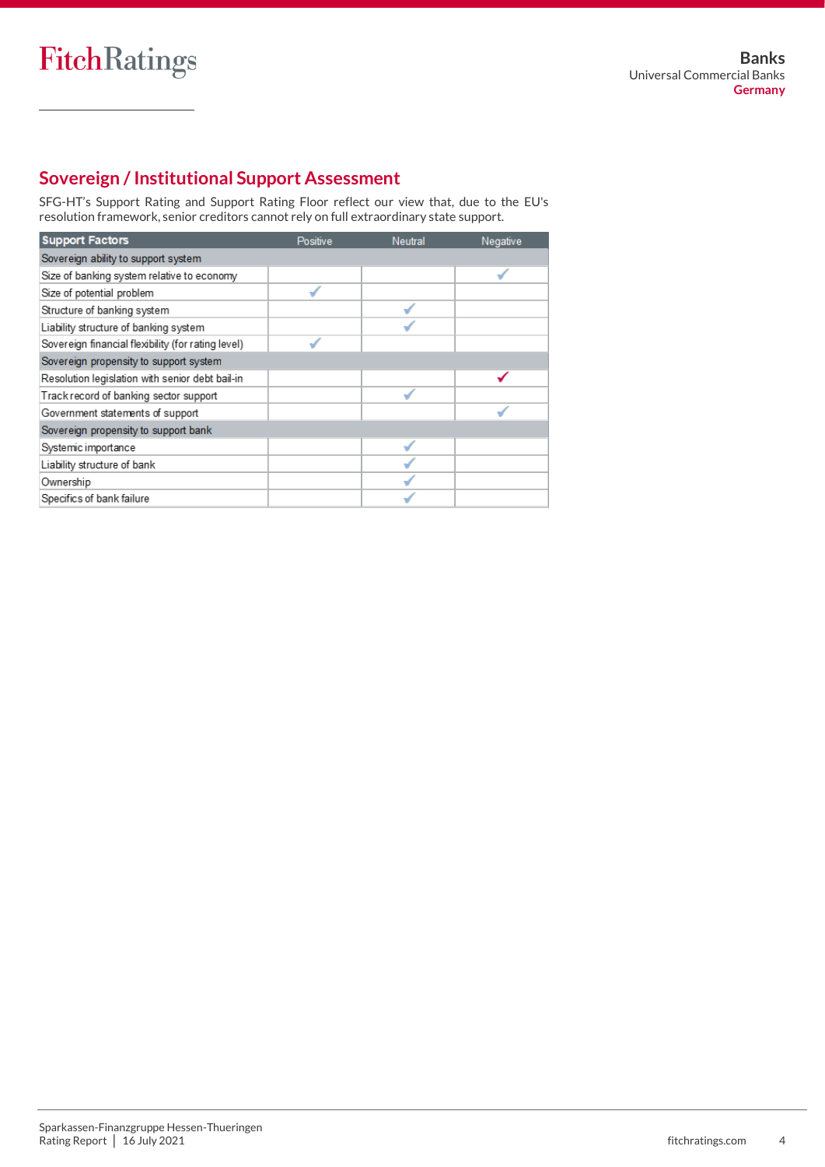# **Sovereign / Institutional Support Assessment**

SFG-HT's Support Rating and Support Rating Floor reflect our view that, due to the EU's resolution framework, senior creditors cannot rely on full extraordinary state support.

| <b>Support Factors</b>                             | Positive | Neutral | Negative |
|----------------------------------------------------|----------|---------|----------|
| Sovereign ability to support system                |          |         |          |
| Size of banking system relative to economy         |          |         |          |
| Size of potential problem                          |          |         |          |
| Structure of banking system                        |          |         |          |
| Liability structure of banking system              |          |         |          |
| Sovereign financial flexibility (for rating level) |          |         |          |
| Sovereign propensity to support system             |          |         |          |
| Resolution legislation with senior debt bail-in    |          |         |          |
| Track record of banking sector support             |          |         |          |
| Government statements of support                   |          |         |          |
| Sovereign propensity to support bank               |          |         |          |
| Systemic importance                                |          |         |          |
| Liability structure of bank                        |          |         |          |
| Ownership                                          |          |         |          |
| Specifics of bank failure                          |          |         |          |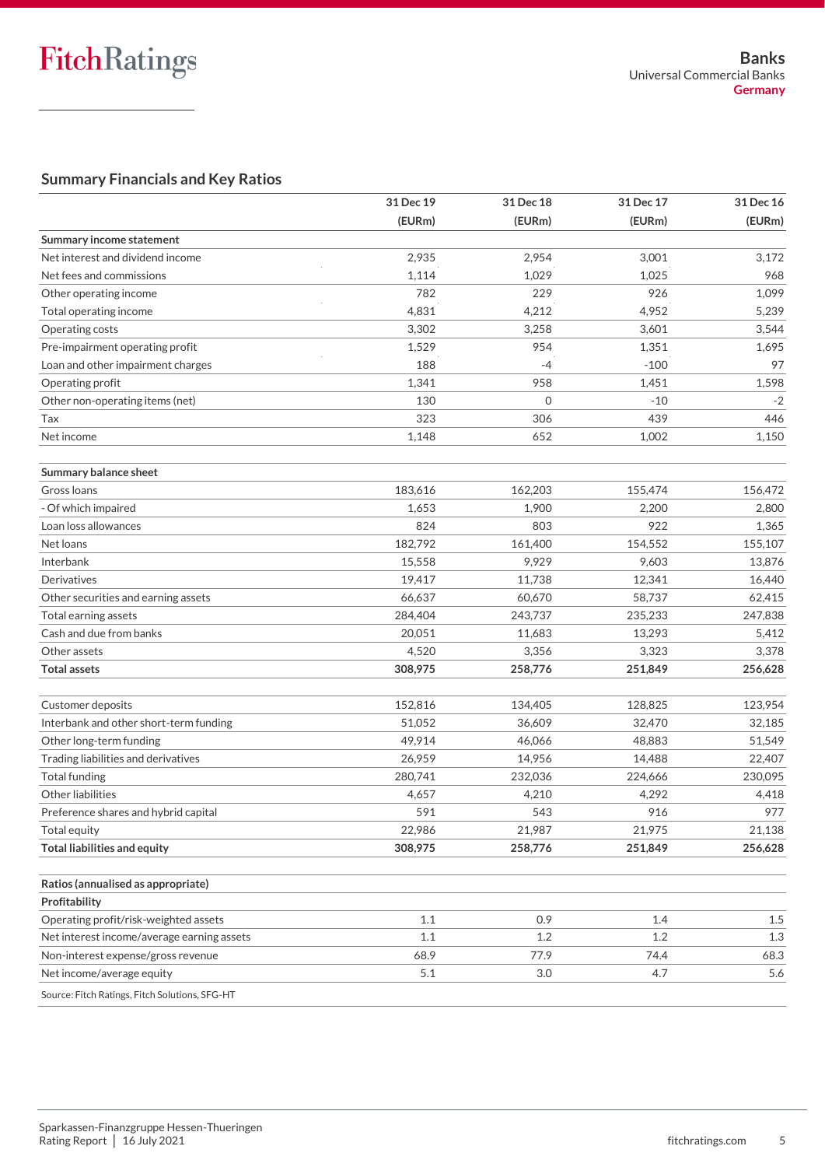### **Summary Financials and Key Ratios**

|                                                | 31 Dec 19 | 31 Dec 18 | 31 Dec 17 | 31 Dec 16 |
|------------------------------------------------|-----------|-----------|-----------|-----------|
|                                                | (EURm)    | (EURm)    | (EURm)    | (EURm)    |
| Summary income statement                       |           |           |           |           |
| Net interest and dividend income               | 2,935     | 2,954     | 3,001     | 3,172     |
| Net fees and commissions                       | 1,114     | 1,029     | 1,025     | 968       |
| Other operating income                         | 782       | 229       | 926       | 1,099     |
| Total operating income                         | 4,831     | 4,212     | 4,952     | 5,239     |
| Operating costs                                | 3,302     | 3,258     | 3,601     | 3,544     |
| Pre-impairment operating profit                | 1,529     | 954       | 1,351     | 1,695     |
| Loan and other impairment charges              | 188       | -4        | $-100$    | 97        |
| Operating profit                               | 1,341     | 958       | 1,451     | 1,598     |
| Other non-operating items (net)                | 130       | $\Omega$  | $-10$     | $-2$      |
| Tax                                            | 323       | 306       | 439       | 446       |
| Net income                                     | 1,148     | 652       | 1,002     | 1,150     |
| Summary balance sheet                          |           |           |           |           |
| Gross Ioans                                    | 183,616   | 162,203   | 155,474   | 156,472   |
| - Of which impaired                            | 1,653     | 1,900     | 2,200     | 2,800     |
| Loan loss allowances                           | 824       | 803       | 922       | 1,365     |
| Net loans                                      | 182,792   | 161,400   | 154,552   | 155,107   |
| Interbank                                      | 15,558    | 9,929     | 9,603     | 13,876    |
| Derivatives                                    | 19,417    | 11,738    | 12,341    | 16,440    |
| Other securities and earning assets            | 66,637    | 60,670    | 58,737    | 62,415    |
| Total earning assets                           | 284,404   | 243,737   | 235,233   | 247,838   |
| Cash and due from banks                        | 20,051    | 11,683    | 13,293    | 5,412     |
| Other assets                                   | 4,520     | 3,356     | 3,323     | 3,378     |
| <b>Total assets</b>                            | 308,975   | 258,776   | 251,849   | 256,628   |
| Customer deposits                              | 152,816   | 134,405   | 128,825   | 123,954   |
| Interbank and other short-term funding         | 51,052    | 36,609    | 32,470    | 32,185    |
| Other long-term funding                        | 49,914    | 46,066    | 48,883    | 51,549    |
| Trading liabilities and derivatives            | 26,959    | 14,956    | 14,488    | 22,407    |
| <b>Total funding</b>                           | 280,741   | 232,036   | 224,666   | 230,095   |
| Other liabilities                              | 4,657     | 4,210     | 4,292     | 4,418     |
| Preference shares and hybrid capital           | 591       | 543       | 916       | 977       |
| Total equity                                   | 22,986    | 21,987    | 21,975    | 21,138    |
| <b>Total liabilities and equity</b>            | 308,975   | 258,776   | 251,849   | 256,628   |
| Ratios (annualised as appropriate)             |           |           |           |           |
| Profitability                                  |           |           |           |           |
| Operating profit/risk-weighted assets          | 1.1       | 0.9       | 1.4       | 1.5       |
| Net interest income/average earning assets     | 1.1       | 1.2       | 1.2       | 1.3       |
| Non-interest expense/gross revenue             | 68.9      | 77.9      | 74.4      | 68.3      |
| Net income/average equity                      | 5.1       | 3.0       | 4.7       | 5.6       |
| Source: Fitch Ratings, Fitch Solutions, SFG-HT |           |           |           |           |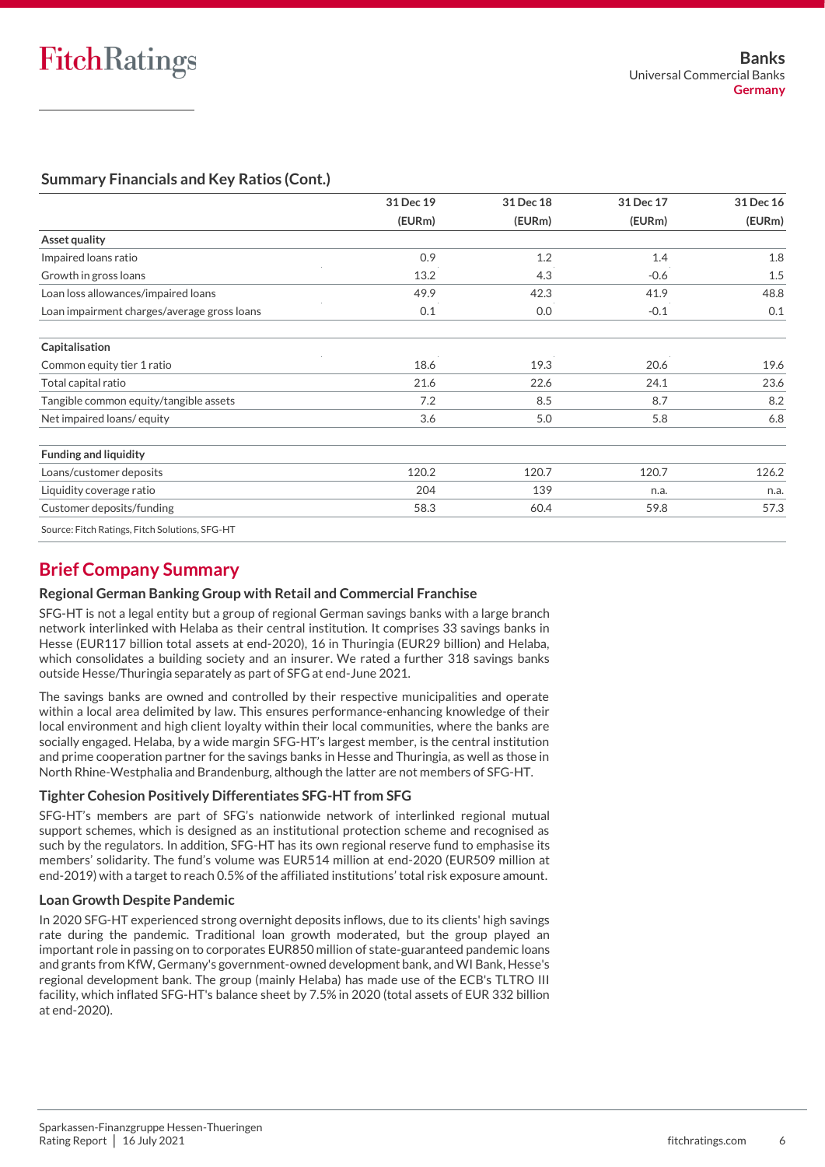## **Summary Financials and Key Ratios (Cont.)**

|                                                | 31 Dec 19 | 31 Dec 18 | 31 Dec 17 | 31 Dec 16 |
|------------------------------------------------|-----------|-----------|-----------|-----------|
|                                                | (EURm)    | (EURm)    | (EURm)    | (EURm)    |
| Asset quality                                  |           |           |           |           |
| Impaired loans ratio                           | 0.9       | 1.2       | 1.4       | 1.8       |
| Growth in gross loans                          | 13.2      | 4.3       | $-0.6$    | 1.5       |
| Loan loss allowances/impaired loans            | 49.9      | 42.3      | 41.9      | 48.8      |
| Loan impairment charges/average gross loans    | 0.1       | 0.0       | $-0.1$    | 0.1       |
| Capitalisation                                 |           |           |           |           |
| Common equity tier 1 ratio                     | 18.6      | 19.3      | 20.6      | 19.6      |
| Total capital ratio                            | 21.6      | 22.6      | 24.1      | 23.6      |
| Tangible common equity/tangible assets         | 7.2       | 8.5       | 8.7       | 8.2       |
| Net impaired loans/equity                      | 3.6       | 5.0       | 5.8       | 6.8       |
| <b>Funding and liquidity</b>                   |           |           |           |           |
| Loans/customer deposits                        | 120.2     | 120.7     | 120.7     | 126.2     |
| Liquidity coverage ratio                       | 204       | 139       | n.a.      | n.a.      |
| Customer deposits/funding                      | 58.3      | 60.4      | 59.8      | 57.3      |
| Source: Fitch Ratings, Fitch Solutions, SFG-HT |           |           |           |           |

# **Brief Company Summary**

### **Regional German Banking Group with Retail and Commercial Franchise**

SFG-HT is not a legal entity but a group of regional German savings banks with a large branch network interlinked with Helaba as their central institution. It comprises 33 savings banks in Hesse (EUR117 billion total assets at end-2020), 16 in Thuringia (EUR29 billion) and Helaba, which consolidates a building society and an insurer. We rated a further 318 savings banks outside Hesse/Thuringia separately as part of SFG at end-June 2021.

The savings banks are owned and controlled by their respective municipalities and operate within a local area delimited by law. This ensures performance-enhancing knowledge of their local environment and high client loyalty within their local communities, where the banks are socially engaged. Helaba, by a wide margin SFG-HT's largest member, is the central institution and prime cooperation partner for the savings banks in Hesse and Thuringia, as well as those in North Rhine-Westphalia and Brandenburg, although the latter are not members of SFG-HT.

### **Tighter Cohesion Positively Differentiates SFG-HT from SFG**

SFG-HT's members are part of SFG's nationwide network of interlinked regional mutual support schemes, which is designed as an institutional protection scheme and recognised as such by the regulators. In addition, SFG-HT has its own regional reserve fund to emphasise its members' solidarity. The fund's volume was EUR514 million at end-2020 (EUR509 million at end-2019) with a target to reach 0.5% of the affiliated institutions' total risk exposure amount.

### **Loan Growth Despite Pandemic**

In 2020 SFG-HT experienced strong overnight deposits inflows, due to its clients' high savings rate during the pandemic. Traditional loan growth moderated, but the group played an important role in passing on to corporates EUR850 million of state-guaranteed pandemic loans and grants from KfW, Germany's government-owned development bank, and WI Bank, Hesse's regional development bank. The group (mainly Helaba) has made use of the ECB's TLTRO III facility, which inflated SFG-HT's balance sheet by 7.5% in 2020 (total assets of EUR 332 billion at end-2020).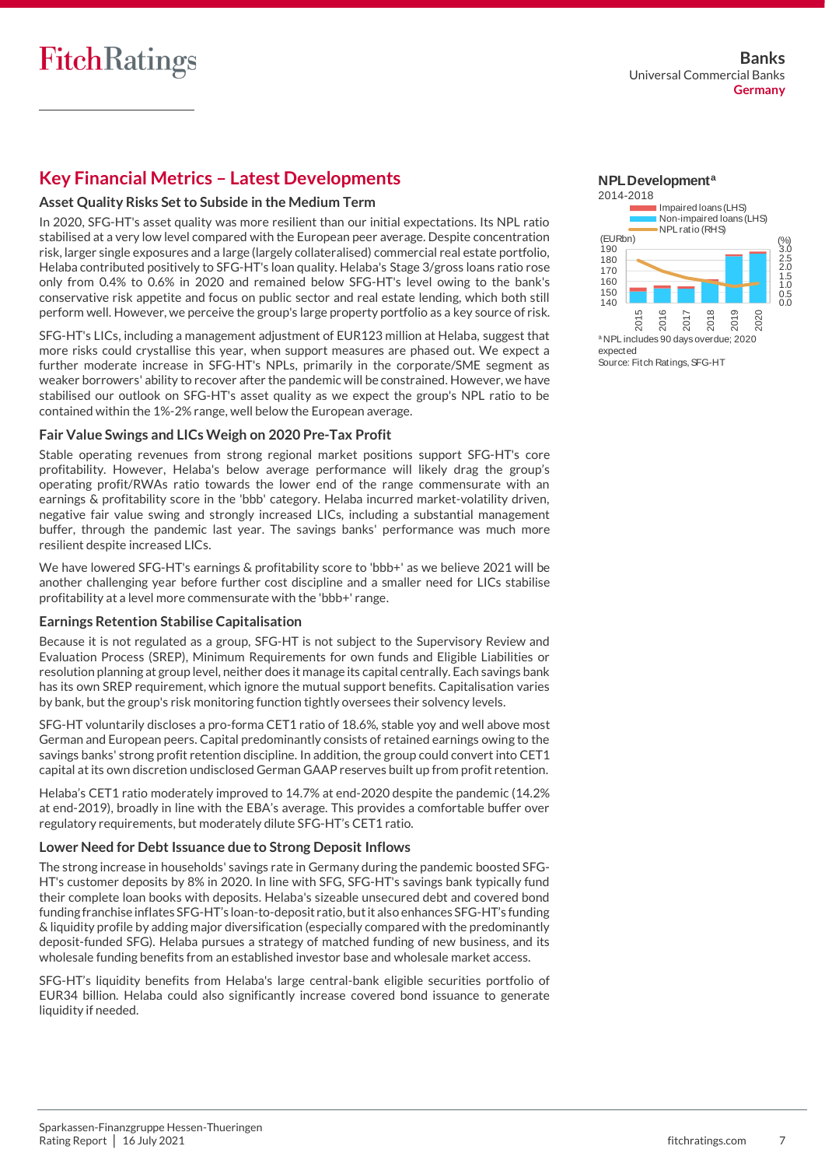# **Key Financial Metrics – Latest Developments**

### **Asset Quality Risks Set to Subside in the Medium Term**

In 2020, SFG-HT's asset quality was more resilient than our initial expectations. Its NPL ratio stabilised at a very low level compared with the European peer average. Despite concentration risk, larger single exposures and a large (largely collateralised) commercial real estate portfolio, Helaba contributed positively to SFG-HT's loan quality. Helaba's Stage 3/gross loans ratio rose only from 0.4% to 0.6% in 2020 and remained below SFG-HT's level owing to the bank's conservative risk appetite and focus on public sector and real estate lending, which both still perform well. However, we perceive the group's large property portfolio as a key source of risk.

SFG-HT's LICs, including a management adjustment of EUR123 million at Helaba, suggest that more risks could crystallise this year, when support measures are phased out. We expect a further moderate increase in SFG-HT's NPLs, primarily in the corporate/SME segment as weaker borrowers' ability to recover after the pandemic will be constrained. However, we have stabilised our outlook on SFG-HT's asset quality as we expect the group's NPL ratio to be contained within the 1%-2% range, well below the European average.

### **Fair Value Swings and LICs Weigh on 2020 Pre-Tax Profit**

Stable operating revenues from strong regional market positions support SFG-HT's core profitability. However, Helaba's below average performance will likely drag the group's operating profit/RWAs ratio towards the lower end of the range commensurate with an earnings & profitability score in the 'bbb' category. Helaba incurred market-volatility driven, negative fair value swing and strongly increased LICs, including a substantial management buffer, through the pandemic last year. The savings banks' performance was much more resilient despite increased LICs.

We have lowered SFG-HT's earnings & profitability score to 'bbb+' as we believe 2021 will be another challenging year before further cost discipline and a smaller need for LICs stabilise profitability at a level more commensurate with the 'bbb+' range.

#### **Earnings Retention Stabilise Capitalisation**

Because it is not regulated as a group, SFG-HT is not subject to the Supervisory Review and Evaluation Process (SREP), Minimum Requirements for own funds and Eligible Liabilities or resolution planning at group level, neither does it manage its capital centrally. Each savings bank has its own SREP requirement, which ignore the mutual support benefits. Capitalisation varies by bank, but the group's risk monitoring function tightly oversees their solvency levels.

SFG-HT voluntarily discloses a pro-forma CET1 ratio of 18.6%, stable yoy and well above most German and European peers. Capital predominantly consists of retained earnings owing to the savings banks' strong profit retention discipline. In addition, the group could convert into CET1 capital at its own discretion undisclosed German GAAP reserves built up from profit retention.

Helaba's CET1 ratio moderately improved to 14.7% at end-2020 despite the pandemic (14.2% at end-2019), broadly in line with the EBA's average. This provides a comfortable buffer over regulatory requirements, but moderately dilute SFG-HT's CET1 ratio.

### **Lower Need for Debt Issuance due to Strong Deposit Inflows**

The strong increase in households' savings rate in Germany during the pandemic boosted SFG-HT's customer deposits by 8% in 2020. In line with SFG, SFG-HT's savings bank typically fund their complete loan books with deposits. Helaba's sizeable unsecured debt and covered bond funding franchise inflates SFG-HT's loan-to-deposit ratio, but it also enhances SFG-HT's funding & liquidity profile by adding major diversification (especially compared with the predominantly deposit-funded SFG). Helaba pursues a strategy of matched funding of new business, and its wholesale funding benefits from an established investor base and wholesale market access.

SFG-HT's liquidity benefits from Helaba's large central-bank eligible securities portfolio of EUR34 billion. Helaba could also significantly increase covered bond issuance to generate liquidity if needed.





Source: Fitch Ratings, SFG-HT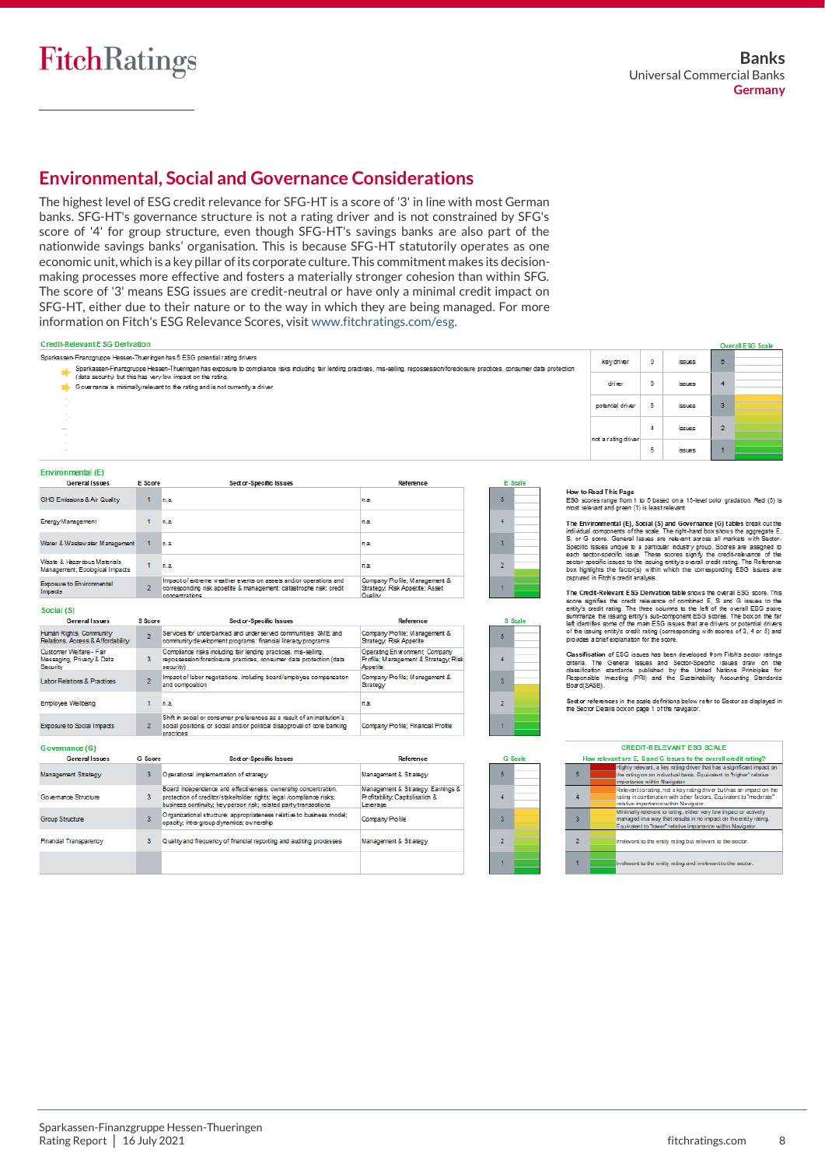E<br>Ir

# **Environmental, Social and Governance Considerations**

The highest level of ESG credit relevance for SFG-HT is a score of '3' in line with most German banks. SFG-HT's governance structure is not a rating driver and is not constrained by SFG's score of '4' for group structure, even though SFG-HT's savings banks are also part of the nationwide savings banks' organisation. This is because SFG-HT statutorily operates as one economic unit, which is a key pillar of its corporate culture. This commitment makes its decisionmaking processes more effective and fosters a materially stronger cohesion than within SFG. The score of '3' means ESG issues are credit-neutral or have only a minimal credit impact on SFG-HT, either due to their nature or to the way in which they are being managed. For more information on Fitch's ESG Relevance Scores, visit [www.fitchratings.com/esg.](http://www.fitchratings.com/esg)

| <b>Credit-Relevant E SG Derivation</b>                        |         |                                                                                                                                                                                                                                                                       |           |   |         |                                                                                                                                                                                                                                             |   |               |    | <b>Overall ESG Scale</b> |
|---------------------------------------------------------------|---------|-----------------------------------------------------------------------------------------------------------------------------------------------------------------------------------------------------------------------------------------------------------------------|-----------|---|---------|---------------------------------------------------------------------------------------------------------------------------------------------------------------------------------------------------------------------------------------------|---|---------------|----|--------------------------|
|                                                               |         | Sparkassen-Finanzgruppe Hessen-Thueringen has 5 ESG potential rating drivers<br>Sparkassen-Finanzgruppe Hessen-Thueringen has exposure to compliance risks including fair lending practices, mis-selling, repossession/foredosure practices, consumer data protection |           |   |         | keydriver                                                                                                                                                                                                                                   | 0 | issues        | 5. |                          |
|                                                               |         | (data security) but this has very low impact on the rating.<br>Governance is minimally relevant to the rating and is not currently a driver.                                                                                                                          |           |   |         | driver                                                                                                                                                                                                                                      | 0 | issues        |    |                          |
|                                                               |         |                                                                                                                                                                                                                                                                       |           |   |         | potential driver                                                                                                                                                                                                                            | 5 | <i>issues</i> | 3  |                          |
|                                                               |         |                                                                                                                                                                                                                                                                       |           |   |         | not a rating driver                                                                                                                                                                                                                         |   | <b>issues</b> |    |                          |
|                                                               |         |                                                                                                                                                                                                                                                                       |           |   |         |                                                                                                                                                                                                                                             | 5 | issues        |    |                          |
| Environmental (E)                                             |         |                                                                                                                                                                                                                                                                       |           |   |         |                                                                                                                                                                                                                                             |   |               |    |                          |
| General Issues                                                | E Score | Sector-Specific Issues                                                                                                                                                                                                                                                | Reference |   | E Scale |                                                                                                                                                                                                                                             |   |               |    |                          |
| GHG Emissions & Air Quality                                   | 1.      | n.a.                                                                                                                                                                                                                                                                  | n.a.      | Б |         | How to Read This Page<br>ESG scores range from 1 to 5 based on a 15-level color gradation. Red (5) is<br>most relevant and green (1) is least relevant.                                                                                     |   |               |    |                          |
| Energy Management                                             |         | n.a.                                                                                                                                                                                                                                                                  | n.a.      |   |         | The Environmental (E), Social (S) and Governance (G) tables break out the<br>individual components of the scale. The right-hand box shows the aggregate E,                                                                                  |   |               |    |                          |
| Water & Wastewater Management                                 |         | n.a.                                                                                                                                                                                                                                                                  | In.a.     |   |         | S. or G score. General Issues are relevant across all markets with Sector-<br>Specific Issues unique to a particular industry group. Scores are assigned to<br>each sector-specific issue. These scores signify the credit-relevance of the |   |               |    |                          |
| Waste & Hazardous Materials<br>Management; Ecological Impacts |         | in.a.                                                                                                                                                                                                                                                                 | In.a.     | 2 |         | sector-specific issues to the issuing entity's overall credit rating. The Reference<br>box highlights the factor(s) within which the corresponding ESG issues are                                                                           |   |               |    |                          |

.<br>Chaidh - Masac

**C. Seal** 

 $\overline{5}$ 

 $\overline{4}$  $\overline{3}$ 

 $\overline{2}$  $\overline{1}$ 

a e

 $\overline{4}$  $\overline{3}$  $\overline{2}$ À.

| <b>Exposure to Environmental</b><br>Impacts                      | 2              | corresponding risk appetite & management; catastrophe risk; credit<br>concentrations                                                                             | Strategy, Risk Appetite: Asset<br>Quality                                          |
|------------------------------------------------------------------|----------------|------------------------------------------------------------------------------------------------------------------------------------------------------------------|------------------------------------------------------------------------------------|
| Social (S)                                                       |                |                                                                                                                                                                  |                                                                                    |
| General Issues                                                   | S Score        | Sector-Specific Issues                                                                                                                                           | Reference                                                                          |
| Human Rights, Community<br>Relations, Access & Affordability     | $\overline{2}$ | Services for underbanked and underserved communities: SME and<br>community development programs; financial literacy programs                                     | Company Profile: Management &<br>Strategy, Risk Appetite                           |
| Customer Welfare - Fair<br>Messaging, Privacy & Data<br>Security | 3              | Compliance risks including fair lending practices, mis-selling,<br>repossession/foredosure practices, consumer data protection (data<br>security)                | Operating Environment, Company<br>Profile: Management & Strategy, Risk<br>Appetite |
| <b>Labor Relations &amp; Practices</b>                           | $\overline{2}$ | Impact of labor negotiations, including board/employee compensation<br>and composition                                                                           | Company Profile: Management &<br>Strategy                                          |
| <b>Employee Wellbeing</b>                                        |                | n.a.                                                                                                                                                             | n.a.                                                                               |
| <b>Exposure to Social Impacts</b>                                | 2              | Shift in social or consumer preferences as a result of an institution's<br>social positions, or social and/or political disapproval of core banking<br>practices | Company Profile: Financial Profile                                                 |

| General Issues         | G Score                 | Sector-Specific Issues                                                                                                                                                                                    | Reference                                                                                   |
|------------------------|-------------------------|-----------------------------------------------------------------------------------------------------------------------------------------------------------------------------------------------------------|---------------------------------------------------------------------------------------------|
| Management Strategy    | з                       | Operational implementation of strategy                                                                                                                                                                    | Management & Strategy                                                                       |
| Governance Structure   | 3                       | Board independence and effectiveness; ownership concentration;<br>protection of creditor/stakeholder rights: legal /compliance risks:<br>business continuity, key person risk; related party transactions | Management & Strategy: Earnings &<br><b>Profitability, Capitalisation &amp;</b><br>Leverage |
| <b>Group Structure</b> | $\overline{\mathbf{3}}$ | Organizational structure; appropriateness relative to business model;<br>opacity; intra-group dynamics; ownership                                                                                         | Company Profile                                                                             |
| Financial Transparency | 3                       | Quality and frequency of financial reporting and auditing processes                                                                                                                                       | Management & Strategy                                                                       |
|                        |                         |                                                                                                                                                                                                           |                                                                                             |

box highlights the factor(s) within which the corresponding ESG issues are captured in Fitch's credit analysis.

The Credit-Relevant ESG Derivation table shows the overall ESG score. This The Creative event ESO Lettratear of combined E, S and G issues to the<br>score signifies the credit relevance of combined E, S and G issues to the<br>entity's origin, the three columns to the left of the overall ESO soore<br>summa

provides a prietexplanation for the score.<br>Classification of ESG issues has been developed from Fitibi's sector ratings<br>oriteria. The General Issues and Sector-Specific Issues draw on the<br>dissilication standards published

Sector references in the scale definitions below refer to Sector as displayed in<br>the Sector Details boxon page 1 of the navigator.

|   | <b>CREDIT-RELEVANT ESG SCALE</b>                                                                                                                                                                     |  |
|---|------------------------------------------------------------------------------------------------------------------------------------------------------------------------------------------------------|--|
|   | How relevant are E, S and G issues to the overall credit rating?                                                                                                                                     |  |
| 5 | Highly relevant, a key rating driver that has a significant impact on<br>the rating on an individual basis. Equivalent to "higher" relative<br>importance within Navigator.                          |  |
| 4 | Relevant to rating, not a key rating driver but has an impact on the<br>rating in combination with other factors. Equivalent to "moderate"<br>relative importance within Navigator.                  |  |
| 3 | Minimally relevant to rating, either very low impact or actively.<br>managed in a way that results in no impact on the entity rating.<br>Equivalent to "lower" relative importance within Navigator. |  |
|   | Irrelevant to the entity rating but relevant to the sector.                                                                                                                                          |  |
|   | Irrelevant to the entity rating and irrelevant to the sector.                                                                                                                                        |  |